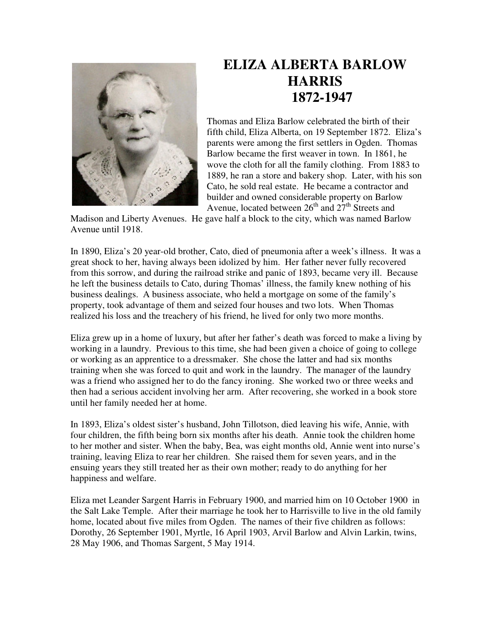

## **ELIZA ALBERTA BARLOW HARRIS 1872-1947**

Thomas and Eliza Barlow celebrated the birth of their fifth child, Eliza Alberta, on 19 September 1872. Eliza's parents were among the first settlers in Ogden. Thomas Barlow became the first weaver in town. In 1861, he wove the cloth for all the family clothing. From 1883 to 1889, he ran a store and bakery shop. Later, with his son Cato, he sold real estate. He became a contractor and builder and owned considerable property on Barlow Avenue, located between  $26<sup>th</sup>$  and  $27<sup>th</sup>$  Streets and

Madison and Liberty Avenues. He gave half a block to the city, which was named Barlow Avenue until 1918.

In 1890, Eliza's 20 year-old brother, Cato, died of pneumonia after a week's illness. It was a great shock to her, having always been idolized by him. Her father never fully recovered from this sorrow, and during the railroad strike and panic of 1893, became very ill. Because he left the business details to Cato, during Thomas' illness, the family knew nothing of his business dealings. A business associate, who held a mortgage on some of the family's property, took advantage of them and seized four houses and two lots. When Thomas realized his loss and the treachery of his friend, he lived for only two more months.

Eliza grew up in a home of luxury, but after her father's death was forced to make a living by working in a laundry. Previous to this time, she had been given a choice of going to college or working as an apprentice to a dressmaker. She chose the latter and had six months training when she was forced to quit and work in the laundry. The manager of the laundry was a friend who assigned her to do the fancy ironing. She worked two or three weeks and then had a serious accident involving her arm. After recovering, she worked in a book store until her family needed her at home.

In 1893, Eliza's oldest sister's husband, John Tillotson, died leaving his wife, Annie, with four children, the fifth being born six months after his death. Annie took the children home to her mother and sister. When the baby, Bea, was eight months old, Annie went into nurse's training, leaving Eliza to rear her children. She raised them for seven years, and in the ensuing years they still treated her as their own mother; ready to do anything for her happiness and welfare.

Eliza met Leander Sargent Harris in February 1900, and married him on 10 October 1900 in the Salt Lake Temple. After their marriage he took her to Harrisville to live in the old family home, located about five miles from Ogden. The names of their five children as follows: Dorothy, 26 September 1901, Myrtle, 16 April 1903, Arvil Barlow and Alvin Larkin, twins, 28 May 1906, and Thomas Sargent, 5 May 1914.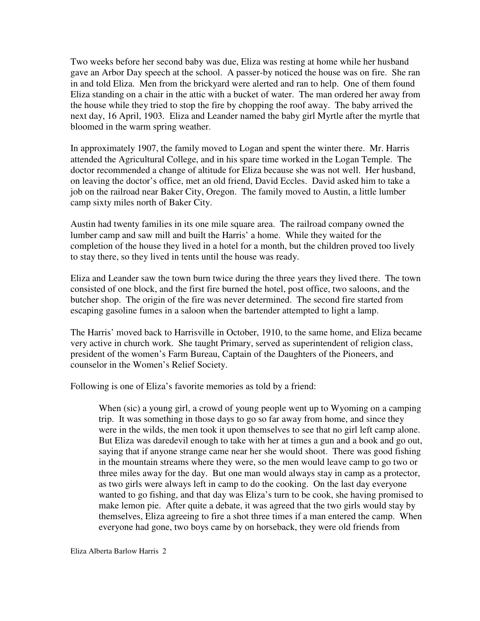Two weeks before her second baby was due, Eliza was resting at home while her husband gave an Arbor Day speech at the school. A passer-by noticed the house was on fire. She ran in and told Eliza. Men from the brickyard were alerted and ran to help. One of them found Eliza standing on a chair in the attic with a bucket of water. The man ordered her away from the house while they tried to stop the fire by chopping the roof away. The baby arrived the next day, 16 April, 1903. Eliza and Leander named the baby girl Myrtle after the myrtle that bloomed in the warm spring weather.

In approximately 1907, the family moved to Logan and spent the winter there. Mr. Harris attended the Agricultural College, and in his spare time worked in the Logan Temple. The doctor recommended a change of altitude for Eliza because she was not well. Her husband, on leaving the doctor's office, met an old friend, David Eccles. David asked him to take a job on the railroad near Baker City, Oregon. The family moved to Austin, a little lumber camp sixty miles north of Baker City.

Austin had twenty families in its one mile square area. The railroad company owned the lumber camp and saw mill and built the Harris' a home. While they waited for the completion of the house they lived in a hotel for a month, but the children proved too lively to stay there, so they lived in tents until the house was ready.

Eliza and Leander saw the town burn twice during the three years they lived there. The town consisted of one block, and the first fire burned the hotel, post office, two saloons, and the butcher shop. The origin of the fire was never determined. The second fire started from escaping gasoline fumes in a saloon when the bartender attempted to light a lamp.

The Harris' moved back to Harrisville in October, 1910, to the same home, and Eliza became very active in church work. She taught Primary, served as superintendent of religion class, president of the women's Farm Bureau, Captain of the Daughters of the Pioneers, and counselor in the Women's Relief Society.

Following is one of Eliza's favorite memories as told by a friend:

When (sic) a young girl, a crowd of young people went up to Wyoming on a camping trip. It was something in those days to go so far away from home, and since they were in the wilds, the men took it upon themselves to see that no girl left camp alone. But Eliza was daredevil enough to take with her at times a gun and a book and go out, saying that if anyone strange came near her she would shoot. There was good fishing in the mountain streams where they were, so the men would leave camp to go two or three miles away for the day. But one man would always stay in camp as a protector, as two girls were always left in camp to do the cooking. On the last day everyone wanted to go fishing, and that day was Eliza's turn to be cook, she having promised to make lemon pie. After quite a debate, it was agreed that the two girls would stay by themselves, Eliza agreeing to fire a shot three times if a man entered the camp. When everyone had gone, two boys came by on horseback, they were old friends from

Eliza Alberta Barlow Harris 2